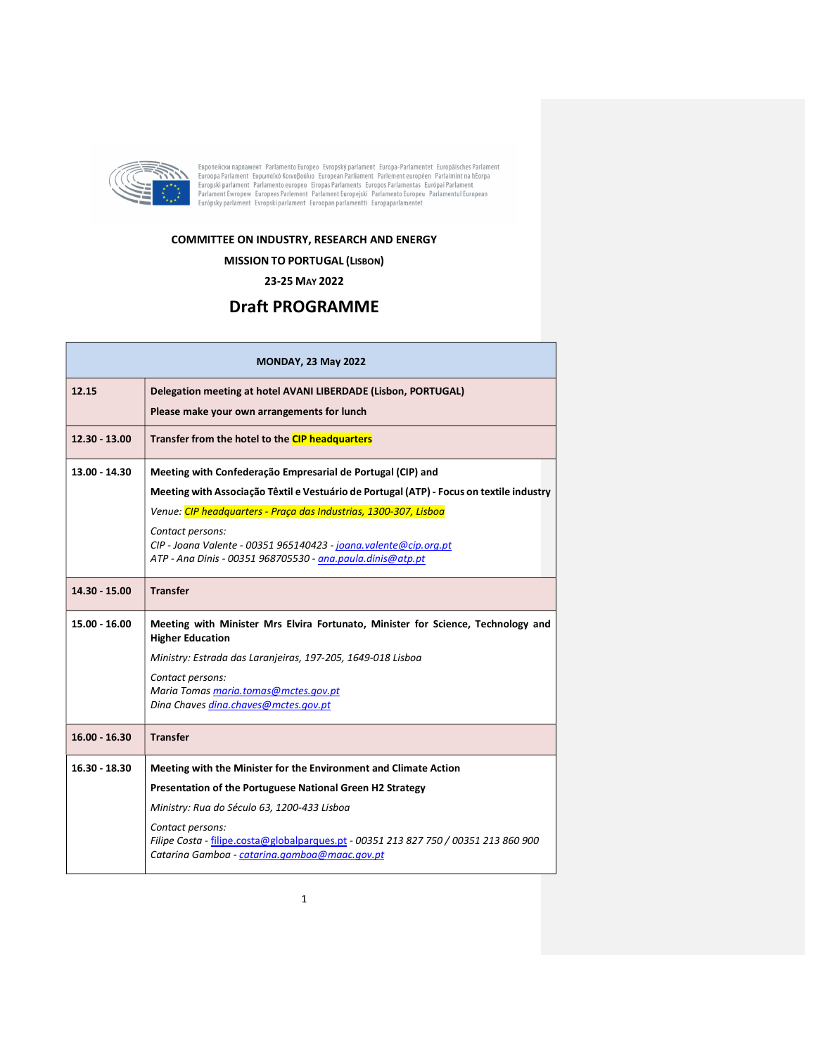

Европейски парламент Parlamento Europeo Evropský parlament Europa-Parlamentet Europäisches Parlament<br>Euroopa Parlament Eupomαïkó Koivoβoύλio European Parliament Parlement européen Parlaimint na hEorpa<br>Europski parlament P

## COMMITTEE ON INDUSTRY, RESEARCH AND ENERGY

## MISSION TO PORTUGAL (LISBON)

23-25 MAY 2022

## Draft PROGRAMME

| <b>MONDAY, 23 May 2022</b> |                                                                                                                                                           |  |
|----------------------------|-----------------------------------------------------------------------------------------------------------------------------------------------------------|--|
| 12.15                      | Delegation meeting at hotel AVANI LIBERDADE (Lisbon, PORTUGAL)                                                                                            |  |
|                            | Please make your own arrangements for lunch                                                                                                               |  |
| $12.30 - 13.00$            | Transfer from the hotel to the CIP headquarters                                                                                                           |  |
| 13.00 - 14.30              | Meeting with Confederação Empresarial de Portugal (CIP) and                                                                                               |  |
|                            | Meeting with Associação Têxtil e Vestuário de Portugal (ATP) - Focus on textile industry                                                                  |  |
|                            | Venue: CIP headquarters - Praça das Industrias, 1300-307, Lisboa                                                                                          |  |
|                            | Contact persons:<br>CIP - Joana Valente - 00351 965140423 - joana.valente@cip.org.pt<br>ATP - Ana Dinis - 00351 968705530 - ana.paula.dinis@atp.pt        |  |
| 14.30 - 15.00              | <b>Transfer</b>                                                                                                                                           |  |
| 15.00 - 16.00              | Meeting with Minister Mrs Elvira Fortunato, Minister for Science, Technology and<br><b>Higher Education</b>                                               |  |
|                            | Ministry: Estrada das Laranjeiras, 197-205, 1649-018 Lisboa                                                                                               |  |
|                            | Contact persons:                                                                                                                                          |  |
|                            | Maria Tomas maria.tomas@mctes.gov.pt<br>Dina Chaves dina.chaves@mctes.gov.pt                                                                              |  |
| $16.00 - 16.30$            | <b>Transfer</b>                                                                                                                                           |  |
| $16.30 - 18.30$            | Meeting with the Minister for the Environment and Climate Action                                                                                          |  |
|                            | Presentation of the Portuguese National Green H2 Strategy                                                                                                 |  |
|                            | Ministry: Rua do Século 63, 1200-433 Lisboa                                                                                                               |  |
|                            | Contact persons:<br>Filipe Costa - filipe.costa@globalparques.pt - 00351 213 827 750 / 00351 213 860 900<br>Catarina Gamboa - catarina.gamboa@maac.gov.pt |  |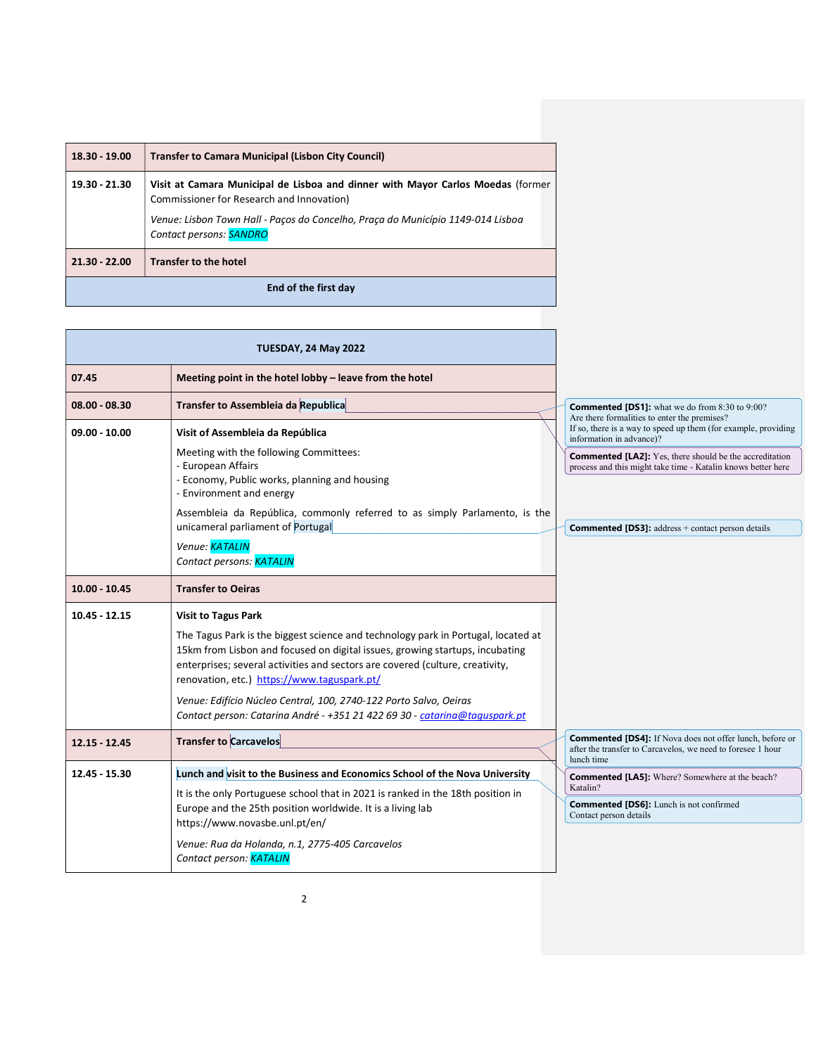| 18.30 - 19.00        | <b>Transfer to Camara Municipal (Lisbon City Council)</b>                                                                                                                                                                                         |  |  |
|----------------------|---------------------------------------------------------------------------------------------------------------------------------------------------------------------------------------------------------------------------------------------------|--|--|
| 19.30 - 21.30        | Visit at Camara Municipal de Lisboa and dinner with Mayor Carlos Moedas (former<br>Commissioner for Research and Innovation)<br>Venue: Lisbon Town Hall - Pacos do Concelho, Praca do Município 1149-014 Lisboa<br>Contact persons: <b>SANDRO</b> |  |  |
| $21.30 - 22.00$      | <b>Transfer to the hotel</b>                                                                                                                                                                                                                      |  |  |
| End of the first day |                                                                                                                                                                                                                                                   |  |  |

|                 | <b>TUESDAY, 24 May 2022</b>                                                                                                                                                                                                                                                                                                                                                                                                                                                        |                                                                                                                                              |
|-----------------|------------------------------------------------------------------------------------------------------------------------------------------------------------------------------------------------------------------------------------------------------------------------------------------------------------------------------------------------------------------------------------------------------------------------------------------------------------------------------------|----------------------------------------------------------------------------------------------------------------------------------------------|
| 07.45           | Meeting point in the hotel lobby - leave from the hotel                                                                                                                                                                                                                                                                                                                                                                                                                            |                                                                                                                                              |
| $08.00 - 08.30$ | Transfer to Assembleia da Republica                                                                                                                                                                                                                                                                                                                                                                                                                                                | <b>Commented [DS1]:</b> what we do from 8:30 to 9:00?<br>Are there formalities to enter the premises?                                        |
| $09.00 - 10.00$ | Visit of Assembleia da República                                                                                                                                                                                                                                                                                                                                                                                                                                                   | If so, there is a way to speed up them (for example, providing<br>information in advance)?                                                   |
|                 | Meeting with the following Committees:<br>- European Affairs<br>- Economy, Public works, planning and housing<br>- Environment and energy                                                                                                                                                                                                                                                                                                                                          | <b>Commented [LA2]:</b> Yes, there should be the accreditation<br>process and this might take time - Katalin knows better here               |
|                 | Assembleia da República, commonly referred to as simply Parlamento, is the<br>unicameral parliament of Portugal                                                                                                                                                                                                                                                                                                                                                                    | <b>Commented [DS3]:</b> address + contact person details                                                                                     |
|                 | Venue: KATALIN<br>Contact persons: KATALIN                                                                                                                                                                                                                                                                                                                                                                                                                                         |                                                                                                                                              |
| $10.00 - 10.45$ | <b>Transfer to Oeiras</b>                                                                                                                                                                                                                                                                                                                                                                                                                                                          |                                                                                                                                              |
|                 |                                                                                                                                                                                                                                                                                                                                                                                                                                                                                    |                                                                                                                                              |
| $10.45 - 12.15$ | <b>Visit to Tagus Park</b><br>The Tagus Park is the biggest science and technology park in Portugal, located at<br>15km from Lisbon and focused on digital issues, growing startups, incubating<br>enterprises; several activities and sectors are covered (culture, creativity,<br>renovation, etc.) https://www.taguspark.pt/<br>Venue: Edifício Núcleo Central, 100, 2740-122 Porto Salvo, Oeiras<br>Contact person: Catarina André - +351 21 422 69 30 - catarina@taguspark.pt |                                                                                                                                              |
| $12.15 - 12.45$ | <b>Transfer to Carcavelos</b>                                                                                                                                                                                                                                                                                                                                                                                                                                                      | <b>Commented [DS4]:</b> If Nova does not offer lunch, before or<br>after the transfer to Carcavelos, we need to foresee 1 hour<br>lunch time |
| 12.45 - 15.30   | Lunch and visit to the Business and Economics School of the Nova University                                                                                                                                                                                                                                                                                                                                                                                                        | <b>Commented [LA5]:</b> Where? Somewhere at the beach?                                                                                       |
|                 | It is the only Portuguese school that in 2021 is ranked in the 18th position in<br>Europe and the 25th position worldwide. It is a living lab<br>https://www.novasbe.unl.pt/en/                                                                                                                                                                                                                                                                                                    | Katalin?<br><b>Commented [DS6]:</b> Lunch is not confirmed<br>Contact person details                                                         |